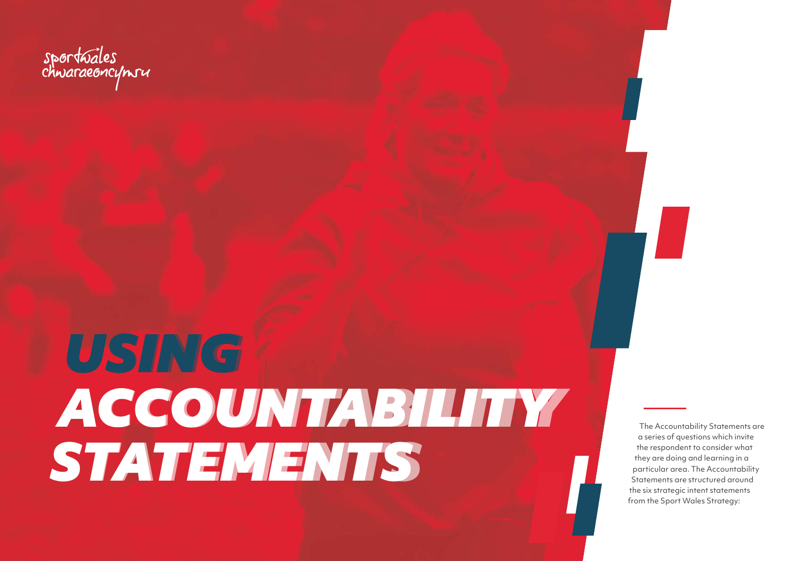The Accountability Statements are a series of questions which invite the respondent to consider what they are doing and learning in a particular area. The Accountability Statements are structured around the six strategic intent statements from the Sport Wales Strategy:

sportuales<br>chwaraeoncymru

# *USING USING ACCOUNTABILITY ACCOUNTABILITY STATEMENTS STATEMENTS*